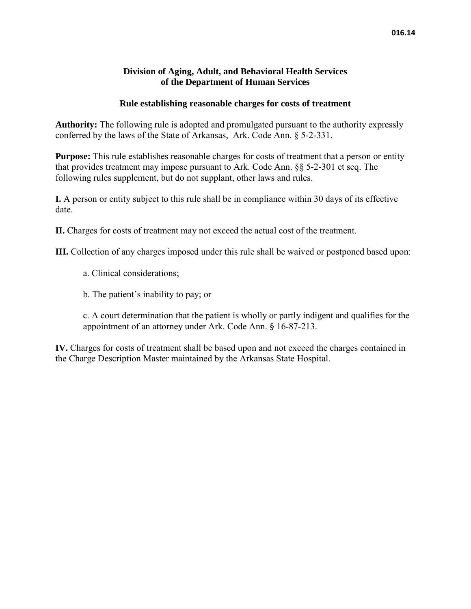# **Division of Aging, Adult, and Behavioral Health Services of the Department of Human Services**

### **Rule establishing reasonable charges for costs of treatment**

**Authority:** The following rule is adopted and promulgated pursuant to the authority expressly conferred by the laws of the State of Arkansas, Ark. Code Ann. § 5-2-331.

**Purpose:** This rule establishes reasonable charges for costs of treatment that a person or entity that provides treatment may impose pursuant to Ark. Code Ann. §§ 5-2-301 et seq. The following rules supplement, but do not supplant, other laws and rules.

**I.** A person or entity subject to this rule shall be in compliance within 30 days of its effective date.

**II.** Charges for costs of treatment may not exceed the actual cost of the treatment.

**III.** Collection of any charges imposed under this rule shall be waived or postponed based upon:

- a. Clinical considerations;
- b. The patient's inability to pay; or

c. A court determination that the patient is wholly or partly indigent and qualifies for the appointment of an attorney under Ark. Code Ann. § 16-87-213.

**IV.** Charges for costs of treatment shall be based upon and not exceed the charges contained in the Charge Description Master maintained by the Arkansas State Hospital.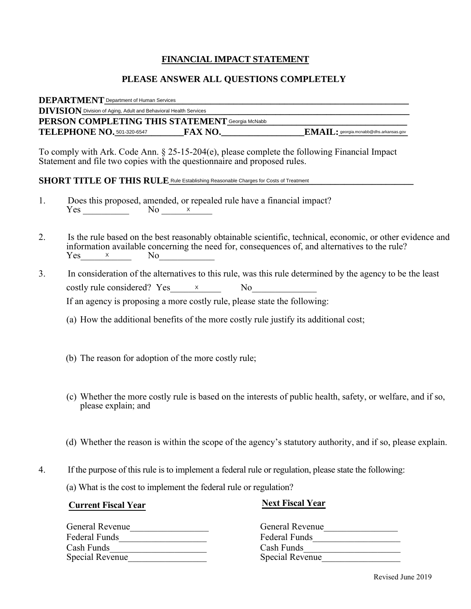# **FINANCIAL IMPACT STATEMENT**

### **PLEASE ANSWER ALL QUESTIONS COMPLETELY**

| <b>DEPARTMENT</b> Department of Human Services                          |                |                                                   |  |
|-------------------------------------------------------------------------|----------------|---------------------------------------------------|--|
| <b>DIVISION</b> Division of Aging, Adult and Behavioral Health Services |                |                                                   |  |
| PERSON COMPLETING THIS STATEMENT Georgia McNabb                         |                |                                                   |  |
| TELEPHONE NO. 501-320-6547                                              | <b>FAX NO.</b> | $\mathbf{EMAIL:}$ georgia.mcnabb@dhs.arkansas.gov |  |

To comply with Ark. Code Ann. § 25-15-204(e), please complete the following Financial Impact Statement and file two copies with the questionnaire and proposed rules.

#### SHORT TITLE OF THIS RULE Rule Establishing Reasonable Charges for Costs of Treatment **Concernance Concernance Costs**

- 1. Does this proposed, amended, or repealed rule have a financial impact?  $Yes \_\_\_\_\_\_\\$  No  $\_\_\_x$
- 2. Is the rule based on the best reasonably obtainable scientific, technical, economic, or other evidence and information available concerning the need for, consequences of, and alternatives to the rule?  $Yes \t x \t No$ X
- 3. In consideration of the alternatives to this rule, was this rule determined by the agency to be the least costly rule considered? Yes x No If an agency is proposing a more costly rule, please state the following:
	- (a) How the additional benefits of the more costly rule justify its additional cost;
	- (b) The reason for adoption of the more costly rule;
	- (c) Whether the more costly rule is based on the interests of public health, safety, or welfare, and if so, please explain; and
	- (d) Whether the reason is within the scope of the agency's statutory authority, and if so, please explain.
- 4. If the purpose of this rule is to implement a federal rule or regulation, please state the following:
	- (a) What is the cost to implement the federal rule or regulation?

# **Current Fiscal Year Next Fiscal Year**

| General Revenue        | General Revenue |
|------------------------|-----------------|
| Federal Funds          | Federal Funds   |
| Cash Funds             | Cash Funds      |
| <b>Special Revenue</b> | Special Revenue |

| General Revenue        | General Revenue |
|------------------------|-----------------|
| Federal Funds          | Federal Funds   |
| Cash Funds             | Cash Funds      |
| <b>Special Revenue</b> | Special Revenue |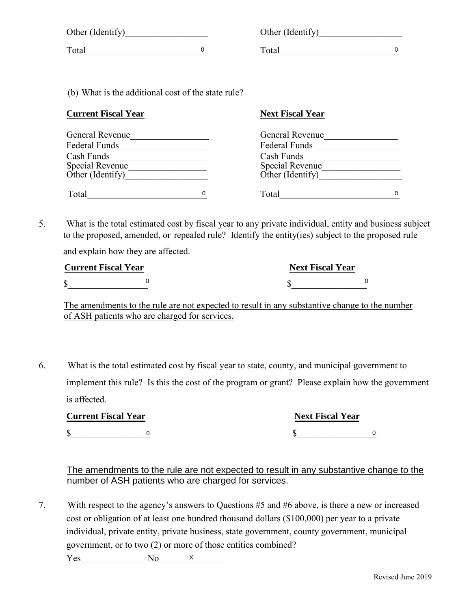| Other (Identify) | Other (Identify) |  |
|------------------|------------------|--|
| Total            | Total            |  |

(b) What is the additional cost of the state rule?

| <b>Current Fiscal Year</b> | <b>Next Fiscal Year</b> |  |
|----------------------------|-------------------------|--|
| General Revenue            | General Revenue         |  |
| Federal Funds              | Federal Funds           |  |
| Cash Funds                 | Cash Funds              |  |
| Special Revenue            | Special Revenue         |  |
| Other (Identify)           | Other (Identify)        |  |
| Total                      | Total                   |  |

5. What is the total estimated cost by fiscal year to any private individual, entity and business subject to the proposed, amended, or repealed rule? Identify the entity(ies) subject to the proposed rule

and explain how they are affected.

| <b>Current Fiscal Year</b> |  | <b>Next Fiscal Year</b> |  |
|----------------------------|--|-------------------------|--|
| ึ                          |  |                         |  |

The amendments to the rule are not expected to result in any substantive change to the number of ASH patients who are charged for services.

6. What is the total estimated cost by fiscal year to state, county, and municipal government to implement this rule? Is this the cost of the program or grant? Please explain how the government is affected.

| <b>Current Fiscal Year</b> |  | <b>Next Fiscal Year</b> |  |
|----------------------------|--|-------------------------|--|
| ሖ<br>.D                    |  |                         |  |

The amendments to the rule are not expected to result in any substantive change to the number of ASH patients who are charged for services.

7. With respect to the agency's answers to Questions #5 and #6 above, is there a new or increased cost or obligation of at least one hundred thousand dollars (\$100,000) per year to a private individual, private entity, private business, state government, county government, municipal government, or to two (2) or more of those entities combined?

 $Yes$  No  $x$